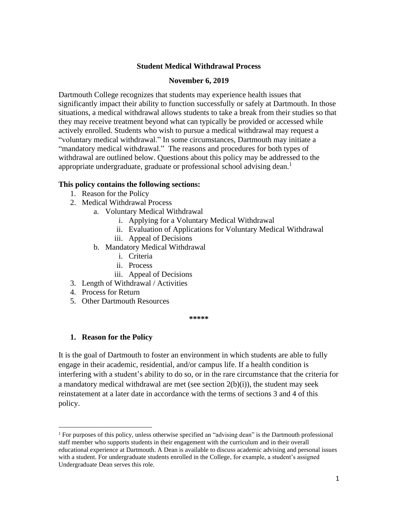### **Student Medical Withdrawal Process**

#### **November 6, 2019**

Dartmouth College recognizes that students may experience health issues that significantly impact their ability to function successfully or safely at Dartmouth. In those situations, a medical withdrawal allows students to take a break from their studies so that they may receive treatment beyond what can typically be provided or accessed while actively enrolled. Students who wish to pursue a medical withdrawal may request a "voluntary medical withdrawal." In some circumstances, Dartmouth may initiate a "mandatory medical withdrawal." The reasons and procedures for both types of withdrawal are outlined below. Questions about this policy may be addressed to the appropriate undergraduate, graduate or professional school advising dean.<sup>1</sup>

#### **This policy contains the following sections:**

- 1. Reason for the Policy
- 2. Medical Withdrawal Process
	- a. Voluntary Medical Withdrawal
		- i. Applying for a Voluntary Medical Withdrawal
		- ii. Evaluation of Applications for Voluntary Medical Withdrawal
		- iii. Appeal of Decisions
	- b. Mandatory Medical Withdrawal
		- i. Criteria
		- ii. Process
		- iii. Appeal of Decisions
- 3. Length of Withdrawal / Activities
- 4. Process for Return
- 5. Other Dartmouth Resources

**\*\*\*\*\***

### **1. Reason for the Policy**

It is the goal of Dartmouth to foster an environment in which students are able to fully engage in their academic, residential, and/or campus life. If a health condition is interfering with a student's ability to do so, or in the rare circumstance that the criteria for a mandatory medical withdrawal are met (see section  $2(b)(i)$ ), the student may seek reinstatement at a later date in accordance with the terms of sections 3 and 4 of this policy.

<sup>1</sup> For purposes of this policy, unless otherwise specified an "advising dean" is the Dartmouth professional staff member who supports students in their engagement with the curriculum and in their overall educational experience at Dartmouth. A Dean is available to discuss academic advising and personal issues with a student. For undergraduate students enrolled in the College, for example, a student's assigned Undergraduate Dean serves this role.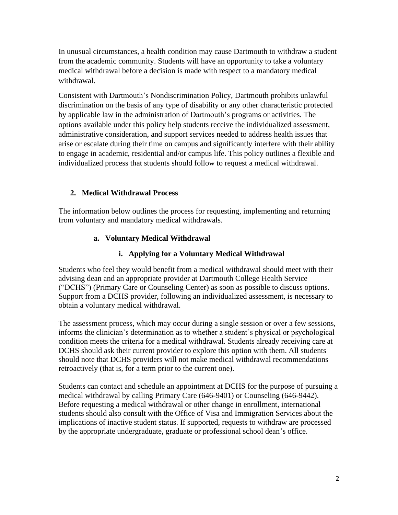In unusual circumstances, a health condition may cause Dartmouth to withdraw a student from the academic community. Students will have an opportunity to take a voluntary medical withdrawal before a decision is made with respect to a mandatory medical withdrawal.

Consistent with Dartmouth's Nondiscrimination Policy, Dartmouth prohibits unlawful discrimination on the basis of any type of disability or any other characteristic protected by applicable law in the administration of Dartmouth's programs or activities. The options available under this policy help students receive the individualized assessment, administrative consideration, and support services needed to address health issues that arise or escalate during their time on campus and significantly interfere with their ability to engage in academic, residential and/or campus life. This policy outlines a flexible and individualized process that students should follow to request a medical withdrawal.

# **2. Medical Withdrawal Process**

The information below outlines the process for requesting, implementing and returning from voluntary and mandatory medical withdrawals.

## **a. Voluntary Medical Withdrawal**

## **i. Applying for a Voluntary Medical Withdrawal**

Students who feel they would benefit from a medical withdrawal should meet with their advising dean and an appropriate provider at Dartmouth College Health Service ("DCHS") (Primary Care or Counseling Center) as soon as possible to discuss options. Support from a DCHS provider, following an individualized assessment, is necessary to obtain a voluntary medical withdrawal.

The assessment process, which may occur during a single session or over a few sessions, informs the clinician's determination as to whether a student's physical or psychological condition meets the criteria for a medical withdrawal. Students already receiving care at DCHS should ask their current provider to explore this option with them. All students should note that DCHS providers will not make medical withdrawal recommendations retroactively (that is, for a term prior to the current one).

Students can contact and schedule an appointment at DCHS for the purpose of pursuing a medical withdrawal by calling Primary Care (646-9401) or Counseling (646-9442). Before requesting a medical withdrawal or other change in enrollment, international students should also consult with the Office of Visa and Immigration Services about the implications of inactive student status. If supported, requests to withdraw are processed by the appropriate undergraduate, graduate or professional school dean's office.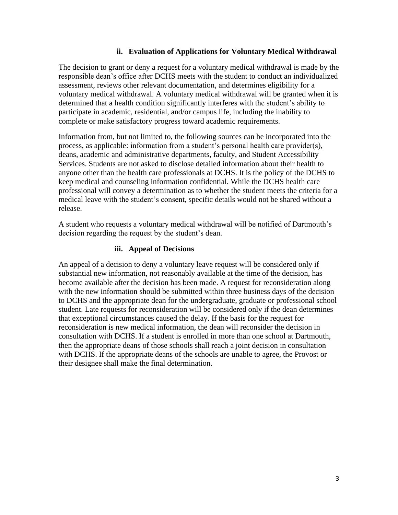### **ii. Evaluation of Applications for Voluntary Medical Withdrawal**

The decision to grant or deny a request for a voluntary medical withdrawal is made by the responsible dean's office after DCHS meets with the student to conduct an individualized assessment, reviews other relevant documentation, and determines eligibility for a voluntary medical withdrawal. A voluntary medical withdrawal will be granted when it is determined that a health condition significantly interferes with the student's ability to participate in academic, residential, and/or campus life, including the inability to complete or make satisfactory progress toward academic requirements.

Information from, but not limited to, the following sources can be incorporated into the process, as applicable: information from a student's personal health care provider(s), deans, academic and administrative departments, faculty, and [Student Accessibility](http://mit.edu/uaap/sds/)  [Services.](http://mit.edu/uaap/sds/) Students are not asked to disclose detailed information about their health to anyone other than the health care professionals at DCHS. It is the policy of the DCHS to keep medical and counseling information confidential. While the DCHS health care professional will convey a determination as to whether the student meets the criteria for a medical leave with the student's consent, specific details would not be shared without a release.

A student who requests a voluntary medical withdrawal will be notified of Dartmouth's decision regarding the request by the student's dean.

### **iii. Appeal of Decisions**

An appeal of a decision to deny a voluntary leave request will be considered only if substantial new information, not reasonably available at the time of the decision, has become available after the decision has been made. A request for reconsideration along with the new information should be submitted within three business days of the decision to DCHS and the appropriate dean for the undergraduate, graduate or professional school student. Late requests for reconsideration will be considered only if the dean determines that exceptional circumstances caused the delay. If the basis for the request for reconsideration is new medical information, the dean will reconsider the decision in consultation with DCHS. If a student is enrolled in more than one school at Dartmouth, then the appropriate deans of those schools shall reach a joint decision in consultation with DCHS. If the appropriate deans of the schools are unable to agree, the Provost or their designee shall make the final determination.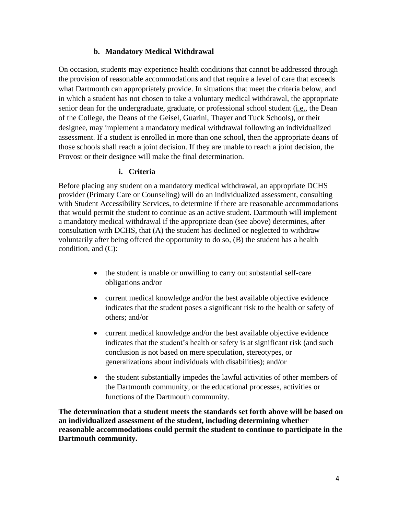### **b. Mandatory Medical Withdrawal**

On occasion, students may experience health conditions that cannot be addressed through the provision of reasonable accommodations and that require a level of care that exceeds what Dartmouth can appropriately provide. In situations that meet the criteria below, and in which a student has not chosen to take a voluntary medical withdrawal, the appropriate senior dean for the undergraduate, graduate, or professional school student (i.e., the Dean of the College, the Deans of the Geisel, Guarini, Thayer and Tuck Schools), or their designee, may implement a mandatory medical withdrawal following an individualized assessment. If a student is enrolled in more than one school, then the appropriate deans of those schools shall reach a joint decision. If they are unable to reach a joint decision, the Provost or their designee will make the final determination.

### **i. Criteria**

Before placing any student on a mandatory medical withdrawal, an appropriate DCHS provider (Primary Care or Counseling) will do an individualized assessment, consulting with Student Accessibility Services, to determine if there are reasonable accommodations that would permit the student to continue as an active student. Dartmouth will implement a mandatory medical withdrawal if the appropriate dean (see above) determines, after consultation with DCHS, that (A) the student has declined or neglected to withdraw voluntarily after being offered the opportunity to do so, (B) the student has a health condition, and (C):

- the student is unable or unwilling to carry out substantial self-care obligations and/or
- current medical knowledge and/or the best available objective evidence indicates that the student poses a significant risk to the health or safety of others; and/or
- current medical knowledge and/or the best available objective evidence indicates that the student's health or safety is at significant risk (and such conclusion is not based on mere speculation, stereotypes, or generalizations about individuals with disabilities); and/or
- the student substantially impedes the lawful activities of other members of the Dartmouth community, or the educational processes, activities or functions of the Dartmouth community.

**The determination that a student meets the standards set forth above will be based on an individualized assessment of the student, including determining whether reasonable accommodations could permit the student to continue to participate in the Dartmouth community.**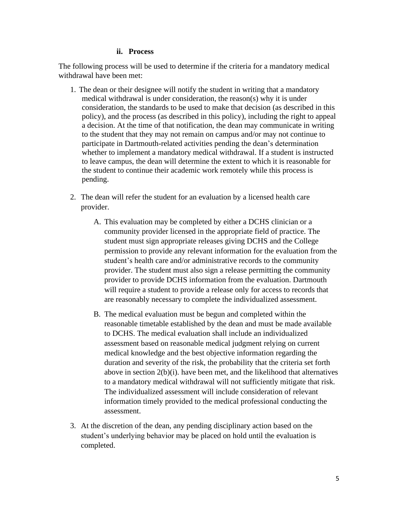#### **ii. Process**

The following process will be used to determine if the criteria for a mandatory medical withdrawal have been met:

- 1. The dean or their designee will notify the student in writing that a mandatory medical withdrawal is under consideration, the reason(s) why it is under consideration, the standards to be used to make that decision (as described in this policy), and the process (as described in this policy), including the right to appeal a decision. At the time of that notification, the dean may communicate in writing to the student that they may not remain on campus and/or may not continue to participate in Dartmouth-related activities pending the dean's determination whether to implement a mandatory medical withdrawal. If a student is instructed to leave campus, the dean will determine the extent to which it is reasonable for the student to continue their academic work remotely while this process is pending.
- 2. The dean will refer the student for an evaluation by a licensed health care provider.
	- A. This evaluation may be completed by either a DCHS clinician or a community provider licensed in the appropriate field of practice. The student must sign appropriate releases giving DCHS and the College permission to provide any relevant information for the evaluation from the student's health care and/or administrative records to the community provider. The student must also sign a release permitting the community provider to provide DCHS information from the evaluation. Dartmouth will require a student to provide a release only for access to records that are reasonably necessary to complete the individualized assessment.
	- B. The medical evaluation must be begun and completed within the reasonable timetable established by the dean and must be made available to DCHS. The medical evaluation shall include an individualized assessment based on reasonable medical judgment relying on current medical knowledge and the best objective information regarding the duration and severity of the risk, the probability that the criteria set forth above in section 2(b)(i). have been met, and the likelihood that alternatives to a mandatory medical withdrawal will not sufficiently mitigate that risk. The individualized assessment will include consideration of relevant information timely provided to the medical professional conducting the assessment.
- 3. At the discretion of the dean, any pending disciplinary action based on the student's underlying behavior may be placed on hold until the evaluation is completed.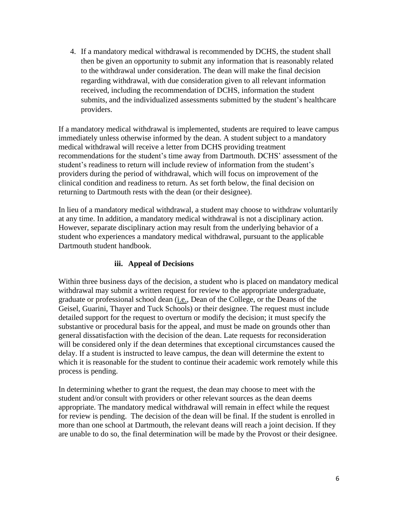4. If a mandatory medical withdrawal is recommended by DCHS, the student shall then be given an opportunity to submit any information that is reasonably related to the withdrawal under consideration. The dean will make the final decision regarding withdrawal, with due consideration given to all relevant information received, including the recommendation of DCHS, information the student submits, and the individualized assessments submitted by the student's healthcare providers.

If a mandatory medical withdrawal is implemented, students are required to leave campus immediately unless otherwise informed by the dean. A student subject to a mandatory medical withdrawal will receive a letter from DCHS providing treatment recommendations for the student's time away from Dartmouth. DCHS' assessment of the student's readiness to return will include review of information from the student's providers during the period of withdrawal, which will focus on improvement of the clinical condition and readiness to return. As set forth below, the final decision on returning to Dartmouth rests with the dean (or their designee).

In lieu of a mandatory medical withdrawal, a student may choose to withdraw voluntarily at any time. In addition, a mandatory medical withdrawal is not a disciplinary action. However, separate disciplinary action may result from the underlying behavior of a student who experiences a mandatory medical withdrawal, pursuant to the applicable Dartmouth student handbook.

### **iii. Appeal of Decisions**

Within three business days of the decision, a student who is placed on mandatory medical withdrawal may submit a written request for review to the appropriate undergraduate, graduate or professional school dean (i.e., Dean of the College, or the Deans of the Geisel, Guarini, Thayer and Tuck Schools) or their designee. The request must include detailed support for the request to overturn or modify the decision; it must specify the substantive or procedural basis for the appeal, and must be made on grounds other than general dissatisfaction with the decision of the dean. Late requests for reconsideration will be considered only if the dean determines that exceptional circumstances caused the delay. If a student is instructed to leave campus, the dean will determine the extent to which it is reasonable for the student to continue their academic work remotely while this process is pending.

In determining whether to grant the request, the dean may choose to meet with the student and/or consult with providers or other relevant sources as the dean deems appropriate. The mandatory medical withdrawal will remain in effect while the request for review is pending. The decision of the dean will be final. If the student is enrolled in more than one school at Dartmouth, the relevant deans will reach a joint decision. If they are unable to do so, the final determination will be made by the Provost or their designee.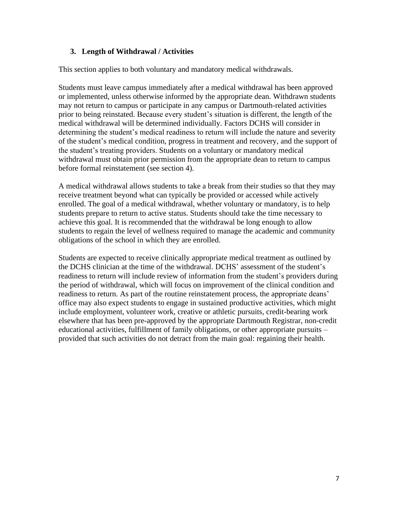## **3. Length of Withdrawal / Activities**

This section applies to both voluntary and mandatory medical withdrawals.

Students must leave campus immediately after a medical withdrawal has been approved or implemented, unless otherwise informed by the appropriate dean. Withdrawn students may not return to campus or participate in any campus or Dartmouth-related activities prior to being reinstated. Because every student's situation is different, the length of the medical withdrawal will be determined individually. Factors DCHS will consider in determining the student's medical readiness to return will include the nature and severity of the student's medical condition, progress in treatment and recovery, and the support of the student's treating providers. Students on a voluntary or mandatory medical withdrawal must obtain prior permission from the appropriate dean to return to campus before formal reinstatement (see section 4).

A medical withdrawal allows students to take a break from their studies so that they may receive treatment beyond what can typically be provided or accessed while actively enrolled. The goal of a medical withdrawal, whether voluntary or mandatory, is to help students prepare to return to active status. Students should take the time necessary to achieve this goal. It is recommended that the withdrawal be long enough to allow students to regain the level of wellness required to manage the academic and community obligations of the school in which they are enrolled.

Students are expected to receive clinically appropriate medical treatment as outlined by the DCHS clinician at the time of the withdrawal. DCHS' assessment of the student's readiness to return will include review of information from the student's providers during the period of withdrawal, which will focus on improvement of the clinical condition and readiness to return. As part of the routine reinstatement process, the appropriate deans' office may also expect students to engage in sustained productive activities, which might include employment, volunteer work, creative or athletic pursuits, credit-bearing work elsewhere that has been pre-approved by the appropriate Dartmouth Registrar, non-credit educational activities, fulfillment of family obligations, or other appropriate pursuits – provided that such activities do not detract from the main goal: regaining their health.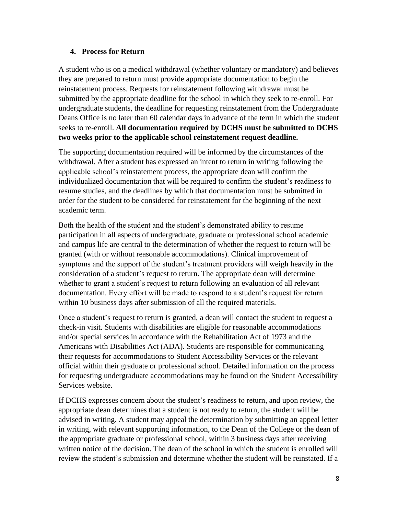### **4. Process for Return**

A student who is on a medical withdrawal (whether voluntary or mandatory) and believes they are prepared to return must provide appropriate documentation to begin the reinstatement process. Requests for reinstatement following withdrawal must be submitted by the appropriate deadline for the school in which they seek to re-enroll. For undergraduate students, the deadline for requesting reinstatement from the Undergraduate Deans Office is no later than 60 calendar days in advance of the term in which the student seeks to re-enroll. **All documentation required by DCHS must be submitted to DCHS two weeks prior to the applicable school reinstatement request deadline.** 

The supporting documentation required will be informed by the circumstances of the withdrawal. After a student has expressed an intent to return in writing following the applicable school's reinstatement process, the appropriate dean will confirm the individualized documentation that will be required to confirm the student's readiness to resume studies, and the deadlines by which that documentation must be submitted in order for the student to be considered for reinstatement for the beginning of the next academic term.

Both the health of the student and the student's demonstrated ability to resume participation in all aspects of undergraduate, graduate or professional school academic and campus life are central to the determination of whether the request to return will be granted (with or without reasonable accommodations). Clinical improvement of symptoms and the support of the student's treatment providers will weigh heavily in the consideration of a student's request to return. The appropriate dean will determine whether to grant a student's request to return following an evaluation of all relevant documentation. Every effort will be made to respond to a student's request for return within 10 business days after submission of all the required materials.

Once a student's request to return is granted, a dean will contact the student to request a check-in visit. Students with disabilities are eligible for reasonable accommodations and/or special services in accordance with the Rehabilitation Act of 1973 and the Americans with Disabilities Act (ADA). Students are responsible for communicating their requests for accommodations to Student Accessibility Services or the relevant official within their graduate or professional school. Detailed information on the process for requesting undergraduate accommodations may be found on the Student Accessibility Services website.

If DCHS expresses concern about the student's readiness to return, and upon review, the appropriate dean determines that a student is not ready to return, the student will be advised in writing. A student may appeal the determination by submitting an appeal letter in writing, with relevant supporting information, to the Dean of the College or the dean of the appropriate graduate or professional school, within 3 business days after receiving written notice of the decision. The dean of the school in which the student is enrolled will review the student's submission and determine whether the student will be reinstated. If a